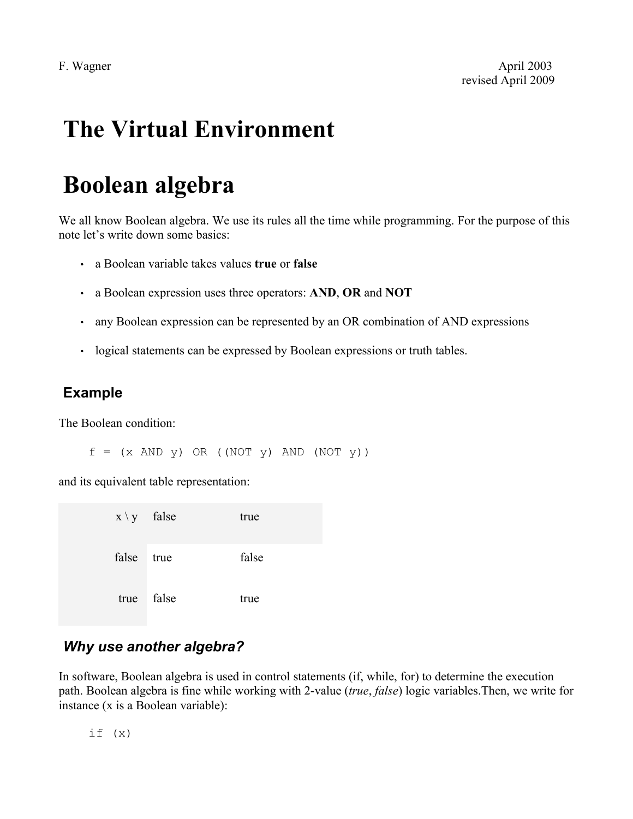## **The Virtual Environment**

# **Boolean algebra**

We all know Boolean algebra. We use its rules all the time while programming. For the purpose of this note let's write down some basics:

- a Boolean variable takes values **true** or **false**
- a Boolean expression uses three operators: **AND**, **OR** and **NOT**
- any Boolean expression can be represented by an OR combination of AND expressions
- logical statements can be expressed by Boolean expressions or truth tables.

#### **Example**

The Boolean condition:

 $f = (x \text{ AND } y) \text{ OR } ((\text{NOT } y) \text{ AND } (\text{NOT } y))$ 

and its equivalent table representation:

| $x \ y$ false |       | true  |
|---------------|-------|-------|
| false         | true  | false |
| true          | false | true  |

## *Why use another algebra?*

In software, Boolean algebra is used in control statements (if, while, for) to determine the execution path. Boolean algebra is fine while working with 2-value (*true*, *false*) logic variables.Then, we write for instance (x is a Boolean variable):

 $if (x)$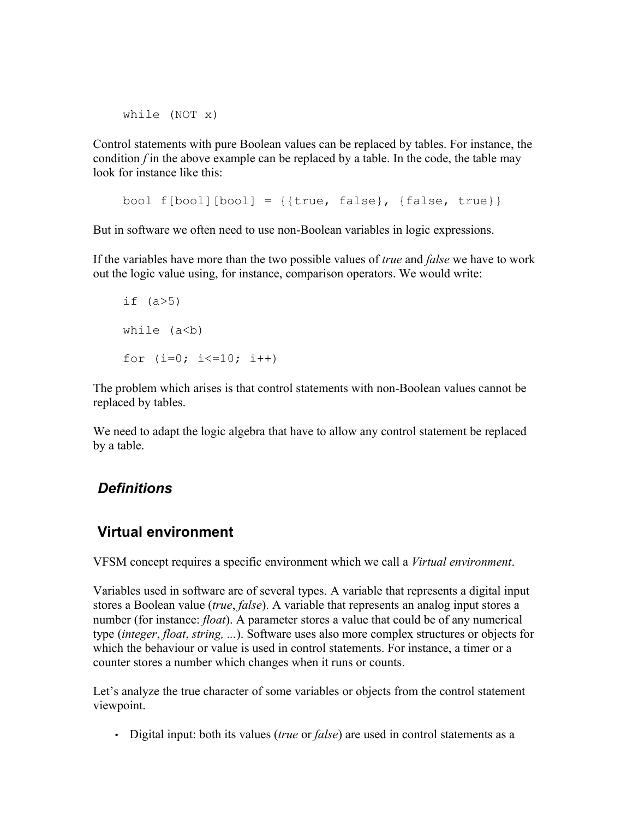while (NOT x)

Control statements with pure Boolean values can be replaced by tables. For instance, the condition *f* in the above example can be replaced by a table. In the code, the table may look for instance like this:

bool  $f[bool][bool] = \{ \{ true, false \}, \{ false, true \} \}$ 

But in software we often need to use non-Boolean variables in logic expressions.

If the variables have more than the two possible values of *true* and *false* we have to work out the logic value using, for instance, comparison operators. We would write:

```
if (a>5)while (a < b)for (i=0; i<=10; i++)
```
The problem which arises is that control statements with non-Boolean values cannot be replaced by tables.

We need to adapt the logic algebra that have to allow any control statement be replaced by a table.

### *Definitions*

#### **Virtual environment**

VFSM concept requires a specific environment which we call a *Virtual environment*.

Variables used in software are of several types. A variable that represents a digital input stores a Boolean value (*true*, *false*). A variable that represents an analog input stores a number (for instance: *float*). A parameter stores a value that could be of any numerical type (*integer*, *float*, *string, ...*). Software uses also more complex structures or objects for which the behaviour or value is used in control statements. For instance, a timer or a counter stores a number which changes when it runs or counts.

Let's analyze the true character of some variables or objects from the control statement viewpoint.

• Digital input: both its values (*true* or *false*) are used in control statements as a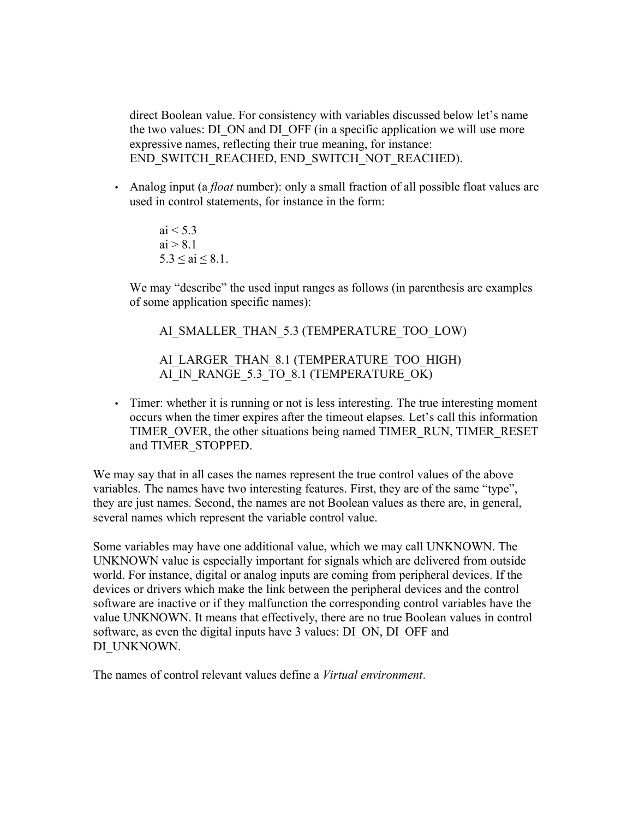direct Boolean value. For consistency with variables discussed below let's name the two values: DI\_ON and DI\_OFF (in a specific application we will use more expressive names, reflecting their true meaning, for instance: END\_SWITCH\_REACHED, END\_SWITCH\_NOT\_REACHED).

• Analog input (a *float* number): only a small fraction of all possible float values are used in control statements, for instance in the form:

> ai  $< 5.3$  $ai > 8.1$  $5.3 \leq ai \leq 8.1$ .

We may "describe" the used input ranges as follows (in parenthesis are examples of some application specific names):

AI\_SMALLER\_THAN\_5.3 (TEMPERATURE\_TOO\_LOW)

AI\_LARGER\_THAN\_8.1 (TEMPERATURE\_TOO\_HIGH) AI\_IN\_RANGE\_5.3\_TO\_8.1 (TEMPERATURE\_OK)

• Timer: whether it is running or not is less interesting. The true interesting moment occurs when the timer expires after the timeout elapses. Let's call this information TIMER\_OVER, the other situations being named TIMER\_RUN, TIMER\_RESET and TIMER\_STOPPED.

We may say that in all cases the names represent the true control values of the above variables. The names have two interesting features. First, they are of the same "type", they are just names. Second, the names are not Boolean values as there are, in general, several names which represent the variable control value.

Some variables may have one additional value, which we may call UNKNOWN. The UNKNOWN value is especially important for signals which are delivered from outside world. For instance, digital or analog inputs are coming from peripheral devices. If the devices or drivers which make the link between the peripheral devices and the control software are inactive or if they malfunction the corresponding control variables have the value UNKNOWN. It means that effectively, there are no true Boolean values in control software, as even the digital inputs have 3 values: DI\_ON, DI\_OFF and DI\_UNKNOWN.

The names of control relevant values define a *Virtual environment*.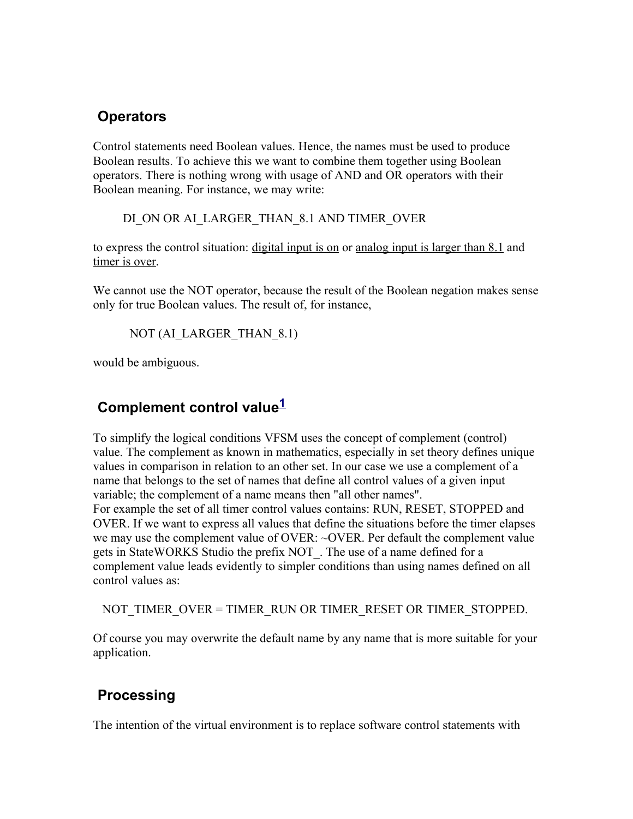### **Operators**

Control statements need Boolean values. Hence, the names must be used to produce Boolean results. To achieve this we want to combine them together using Boolean operators. There is nothing wrong with usage of AND and OR operators with their Boolean meaning. For instance, we may write:

DI\_ON OR AI\_LARGER\_THAN\_8.1 AND TIMER\_OVER

to express the control situation: digital input is on or analog input is larger than 8.1 and timer is over.

We cannot use the NOT operator, because the result of the Boolean negation makes sense only for true Boolean values. The result of, for instance,

NOT (AI\_LARGER\_THAN\_8.1)

would be ambiguous.

## **Complement control value[1](#page-5-0)**

To simplify the logical conditions VFSM uses the concept of complement (control) value. The complement as known in mathematics, especially in set theory defines unique values in comparison in relation to an other set. In our case we use a complement of a name that belongs to the set of names that define all control values of a given input variable; the complement of a name means then "all other names".

For example the set of all timer control values contains: RUN, RESET, STOPPED and OVER. If we want to express all values that define the situations before the timer elapses we may use the complement value of OVER: ~OVER. Per default the complement value gets in StateWORKS Studio the prefix NOT\_. The use of a name defined for a complement value leads evidently to simpler conditions than using names defined on all control values as:

NOT TIMER\_OVER = TIMER\_RUN OR TIMER\_RESET OR TIMER\_STOPPED.

Of course you may overwrite the default name by any name that is more suitable for your application.

## **Processing**

The intention of the virtual environment is to replace software control statements with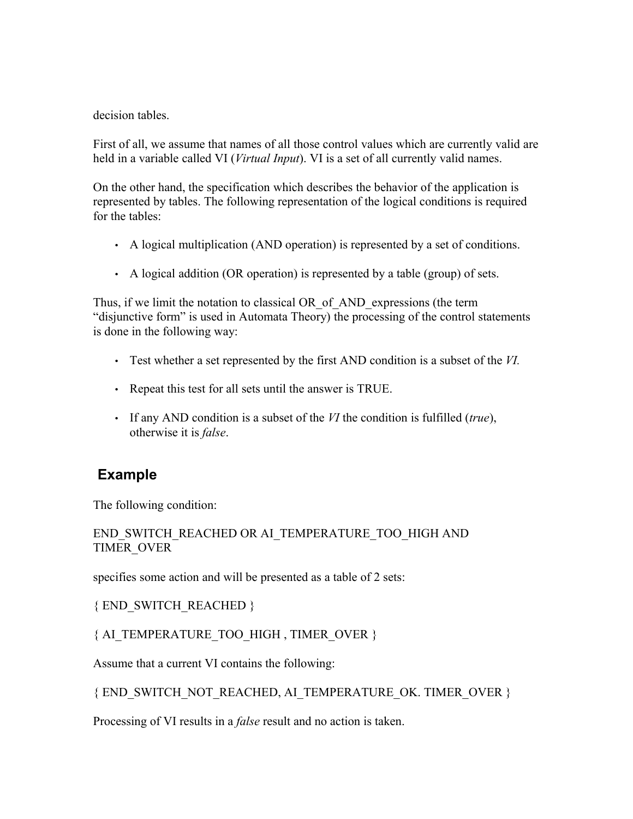decision tables

First of all, we assume that names of all those control values which are currently valid are held in a variable called VI (*Virtual Input*). VI is a set of all currently valid names.

On the other hand, the specification which describes the behavior of the application is represented by tables. The following representation of the logical conditions is required for the tables:

- A logical multiplication (AND operation) is represented by a set of conditions.
- A logical addition (OR operation) is represented by a table (group) of sets.

Thus, if we limit the notation to classical OR of AND expressions (the term "disjunctive form" is used in Automata Theory) the processing of the control statements is done in the following way:

- Test whether a set represented by the first AND condition is a subset of the *VI.*
- Repeat this test for all sets until the answer is TRUE.
- If any AND condition is a subset of the *VI* the condition is fulfilled (*true*), otherwise it is *false*.

## **Example**

The following condition:

#### END\_SWITCH\_REACHED OR AI\_TEMPERATURE\_TOO\_HIGH AND TIMER\_OVER

specifies some action and will be presented as a table of 2 sets:

{ END\_SWITCH\_REACHED }

#### { AI\_TEMPERATURE\_TOO\_HIGH , TIMER\_OVER }

Assume that a current VI contains the following:

#### { END\_SWITCH\_NOT\_REACHED, AI\_TEMPERATURE\_OK. TIMER\_OVER }

Processing of VI results in a *false* result and no action is taken.